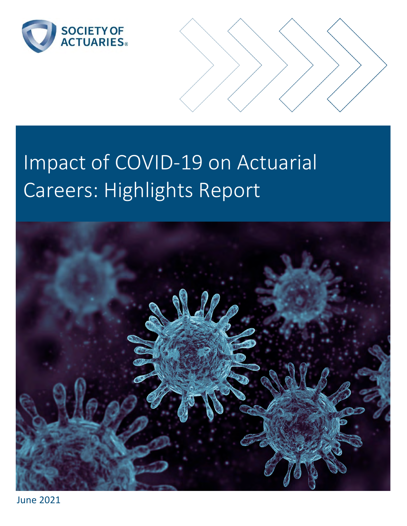



# Impact of COVID-19 on Actuarial Careers: Highlights Report



June 2021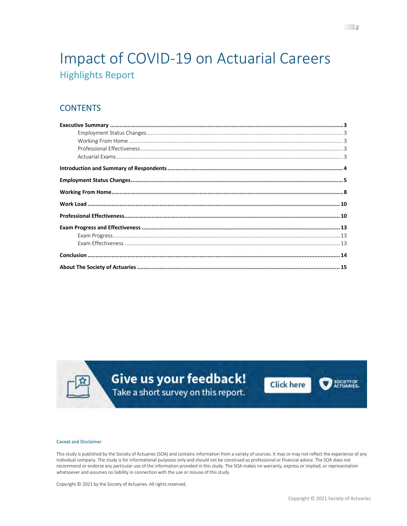## Impact of COVID-19 on Actuarial Careers **Highlights Report**

## **CONTENTS**

Give us your feedback! Take a short survey on this report.





#### **Caveat and Disclaimer**

This study is published by the Society of Actuaries (SOA) and contains information from a variety of sources. It may or may not reflect the experience of any individual company. The study is for informational purposes only and should not be construed as professional or financial advice. The SOA does not recommend or endorse any particular use of the information provided in this study. The SOA makes no warranty, express or implied, or representation whatsoever and assumes no liability in connection with the use or misuse of this study.

Copyright © 2021 by the Society of Actuaries. All rights reserved.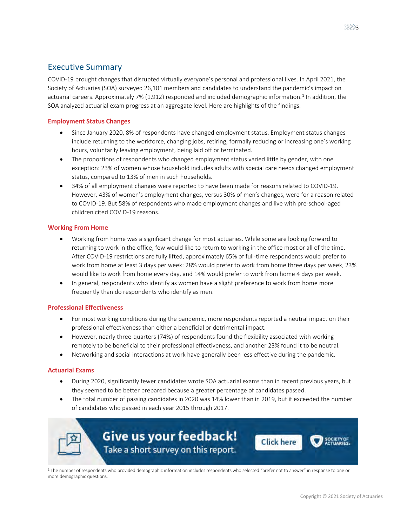## <span id="page-2-0"></span>Executive Summary

COVID-19 brought changes that disrupted virtually everyone's personal and professional lives. In April 2021, the Society of Actuaries (SOA) surveyed 26,101 members and candidates to understand the pandemic's impact on actuarial careers. Approximately 7% ([1](#page-2-5),912) responded and included demographic information.<sup>1</sup> In addition, the SOA analyzed actuarial exam progress at an aggregate level. Here are highlights of the findings.

#### <span id="page-2-1"></span>**Employment Status Changes**

- Since January 2020, 8% of respondents have changed employment status. Employment status changes include returning to the workforce, changing jobs, retiring, formally reducing or increasing one's working hours, voluntarily leaving employment, being laid off or terminated.
- The proportions of respondents who changed employment status varied little by gender, with one exception: 23% of women whose household includes adults with special care needs changed employment status, compared to 13% of men in such households.
- 34% of all employment changes were reported to have been made for reasons related to COVID-19. However, 43% of women's employment changes, versus 30% of men's changes, were for a reason related to COVID-19. But 58% of respondents who made employment changes and live with pre-school-aged children cited COVID-19 reasons.

#### <span id="page-2-2"></span>**Working From Home**

- Working from home was a significant change for most actuaries. While some are looking forward to returning to work in the office, few would like to return to working in the office most or all of the time. After COVID-19 restrictions are fully lifted, approximately 65% of full-time respondents would prefer to work from home at least 3 days per week: 28% would prefer to work from home three days per week, 23% would like to work from home every day, and 14% would prefer to work from home 4 days per week.
- In general, respondents who identify as women have a slight preference to work from home more frequently than do respondents who identify as men.

#### <span id="page-2-3"></span>**Professional Effectiveness**

- For most working conditions during the pandemic, more respondents reported a neutral impact on their professional effectiveness than either a beneficial or detrimental impact.
- However, nearly three-quarters (74%) of respondents found the flexibility associated with working remotely to be beneficial to their professional effectiveness, and another 23% found it to be neutral.
- Networking and social interactions at work have generally been less effective during the pandemic.

#### <span id="page-2-4"></span>**Actuarial Exams**

- During 2020, significantly fewer candidates wrote SOA actuarial exams than in recent previous years, but they seemed to be better prepared because a greater percentage of candidates passed.
- The total number of passing candidates in 2020 was 14% lower than in 2019, but it exceeded the number of candidates who passed in each year 2015 through 2017.



<span id="page-2-5"></span><sup>1</sup> The number of respondents who provided demographic information includes respondents who selected "prefer not to answer" in response to one or more demographic questions.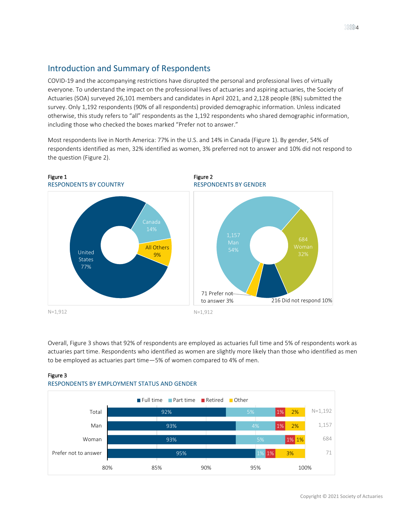## <span id="page-3-0"></span>Introduction and Summary of Respondents

COVID-19 and the accompanying restrictions have disrupted the personal and professional lives of virtually everyone. To understand the impact on the professional lives of actuaries and aspiring actuaries, the Society of Actuaries (SOA) surveyed 26,101 members and candidates in April 2021, and 2,128 people (8%) submitted the survey. Only 1,192 respondents (90% of all respondents) provided demographic information. Unless indicated otherwise, this study refers to "all" respondents as the 1,192 respondents who shared demographic information, including those who checked the boxes marked "Prefer not to answer."

<span id="page-3-2"></span>Most respondents live in North America: 77% in the U.S. and 14% in Canada [\(Figure 1\)](#page-3-1). By gender, 54% of respondents identified as men, 32% identified as women, 3% preferred not to answer and 10% did not respond to the question [\(Figure 2\)](#page-3-2).

<span id="page-3-1"></span>

Overall, [Figure 3](#page-3-3) shows that 92% of respondents are employed as actuaries full time and 5% of respondents work as actuaries part time. Respondents who identified as women are slightly more likely than those who identified as men to be employed as actuaries part time—5% of women compared to 4% of men.



#### <span id="page-3-3"></span>Figure 3 RESPONDENTS BY EMPLOYMENT STATUS AND GENDER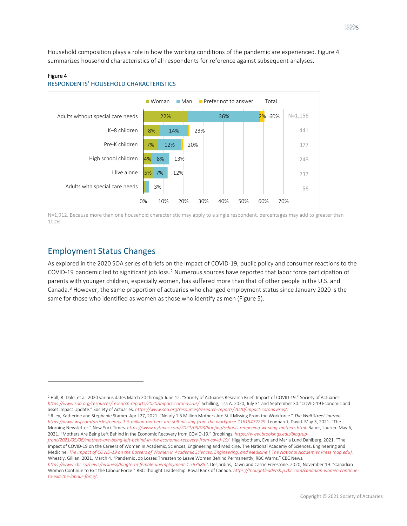Household composition plays a role in how the working conditions of the pandemic are experienced. [Figure 4](#page-4-1) summarizes household characteristics of all respondents for reference against subsequent analyses.

#### <span id="page-4-1"></span>Figure 4

 $\overline{a}$ 





N=1,912. Because more than one household characteristic may apply to a single respondent, percentages may add to greater than 100%.

### <span id="page-4-0"></span>Employment Status Changes

As explored in the 2020 SOA series of briefs on the impact of COVID-19, public policy and consumer reactions to the COVID-19 pandemic led to significant job loss.<sup>[2](#page-4-2)</sup> Numerous sources have reported that labor force participation of parents with younger children, especially women, has suffered more than that of other people in the U.S. and Canada. [3](#page-4-3) However, the same proportion of actuaries who changed employment status since January 2020 is the same for those who identified as women as those who identify as men [\(Figure 5\)](#page-5-0).

<span id="page-4-2"></span><sup>&</sup>lt;sup>2</sup> Hall, R. Dale, et al. 2020 various dates March 20 through June 12. "Society of Actuaries Research Brief: Impact of COVID-19." Society of Actuaries. *<https://www.soa.org/resources/research-reports/2020/impact-coronavirus/>*. Schilling, Lisa A. 2020, July 31 and September 30."COVID-19 Economic and asset Impact Update." Society of Actuaries[.](https://www.soa.org/resources/research-reports/2020/impact-coronavirus/) https://www.soa.org/resources/research-reports/2020/impact-coronavirus/.<br><sup>3</sup> Riley, Katherine and Stephanie Stamm. April 27, 2021. "Nearly 1.5 Million Mothers Are Still Missing F

<span id="page-4-3"></span>*<https://www.wsj.com/articles/nearly-1-5-million-mothers-are-still-missing-from-the-workforce-11619472229>*. Leonhardt, David. May 3, 2021. "The Morning Newsletter." New York Times. *<https://www.nytimes.com/2021/05/03/briefing/schools-reopening-working-mothers.html>*. Bauer, Lauren. May 6,

<sup>2021. &</sup>quot;Mothers Are Being Left Behind in the Economic Recovery from COVID-19." Brookings. *[https://www.brookings.edu/blog/up](https://www.brookings.edu/blog/up-front/2021/05/06/mothers-are-being-left-behind-in-the-economic-recovery-from-covid-19/)[front/2021/05/06/mothers-are-being-left-behind-in-the-economic-recovery-from-covid-19/](https://www.brookings.edu/blog/up-front/2021/05/06/mothers-are-being-left-behind-in-the-economic-recovery-from-covid-19/)*. Higginbotham, Eve and Maria Lund Dahlberg. 2021. "The Impact of COVID-19 on the Careers of Women in Academic, Sciences, Engineering and Medicine. The National Academy of Sciences, Engineering and Medicine. *[The Impact of COVID-19 on the Careers of Women in Academic Sciences, Engineering, and Medicine | The National Academies Press \(nap.edu\).](https://www.nap.edu/catalog/26061/the-impact-of-covid-19-on-the-careers-of-women-in-academic-sciences-engineering-and-medicine)*  Wheatly, Gillian. 2021, March 4. "Pandemic Job Losses Threaten to Leave Women Behind Permanently, RBC Warns." CBC News.

*<https://www.cbc.ca/news/business/longterm-female-unemployment-1.5935882>*. Desjardins, Dawn and Carrie Freestone. 2020, November 19. "Canadian Women Continue to Exit the Labour Force." RBC Thought Leadership. Royal Bank of Canada. *[https://thoughtleadership.rbc.com/canadian-women-continue](https://thoughtleadership.rbc.com/canadian-women-continue-to-exit-the-labour-force/)[to-exit-the-labour-force/](https://thoughtleadership.rbc.com/canadian-women-continue-to-exit-the-labour-force/)*.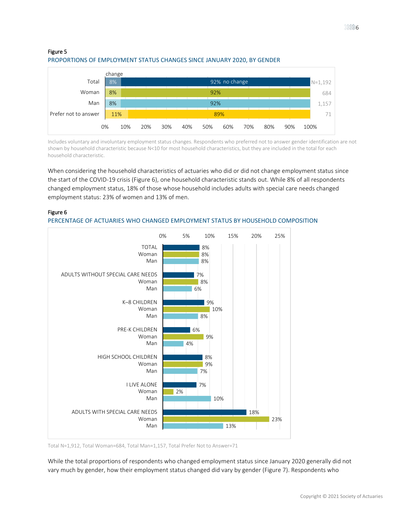

#### <span id="page-5-0"></span>Figure 5 PROPORTIONS OF EMPLOYMENT STATUS CHANGES SINCE JANUARY 2020, BY GENDER

Includes voluntary and involuntary employment status changes. Respondents who preferred not to answer gender identification are not shown by household characteristic because N<10 for most household characteristics, but they are included in the total for each household characteristic.

When considering the household characteristics of actuaries who did or did not change employment status since the start of the COVID-19 crisis [\(Figure 6\)](#page-5-1), one household characteristic stands out. While 8% of all respondents changed employment status, 18% of those whose household includes adults with special care needs changed employment status: 23% of women and 13% of men.



#### <span id="page-5-1"></span>Figure 6

#### PERCENTAGE OF ACTUARIES WHO CHANGED EMPLOYMENT STATUS BY HOUSEHOLD COMPOSITION

Total N=1,912, Total Woman=684, Total Man=1,157, Total Prefer Not to Answer=71

While the total proportions of respondents who changed employment status since January 2020 generally did not vary much by gender, how their employment status changed did vary by gender [\(Figure 7\)](#page-6-0). Respondents who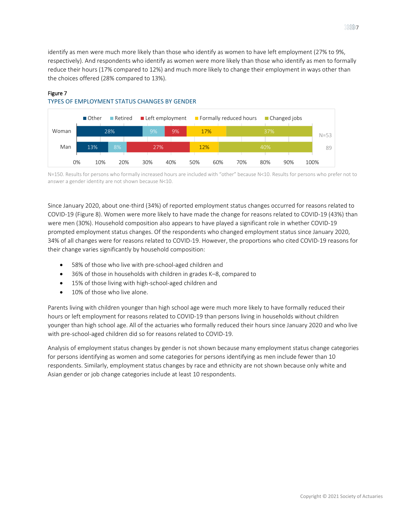identify as men were much more likely than those who identify as women to have left employment (27% to 9%, respectively). And respondents who identify as women were more likely than those who identify as men to formally reduce their hours (17% compared to 12%) and much more likely to change their employment in ways other than the choices offered (28% compared to 13%).



## <span id="page-6-0"></span>Figure 7 TYPES OF EMPLOYMENT STATUS CHANGES BY GENDER

N=150. Results for persons who formally increased hours are included with "other" because N<10. Results for persons who prefer not to answer a gender identity are not shown because N<10.

Since January 2020, about one-third (34%) of reported employment status changes occurred for reasons related to COVID-19 [\(Figure 8\)](#page-7-1). Women were more likely to have made the change for reasons related to COVID-19 (43%) than were men (30%). Household composition also appears to have played a significant role in whether COVID-19 prompted employment status changes. Of the respondents who changed employment status since January 2020, 34% of all changes were for reasons related to COVID-19. However, the proportions who cited COVID-19 reasons for their change varies significantly by household composition:

- 58% of those who live with pre-school-aged children and
- 36% of those in households with children in grades K–8, compared to
- 15% of those living with high-school-aged children and
- 10% of those who live alone.

Parents living with children younger than high school age were much more likely to have formally reduced their hours or left employment for reasons related to COVID-19 than persons living in households without children younger than high school age. All of the actuaries who formally reduced their hours since January 2020 and who live with pre-school-aged children did so for reasons related to COVID-19.

Analysis of employment status changes by gender is not shown because many employment status change categories for persons identifying as women and some categories for persons identifying as men include fewer than 10 respondents. Similarly, employment status changes by race and ethnicity are not shown because only white and Asian gender or job change categories include at least 10 respondents.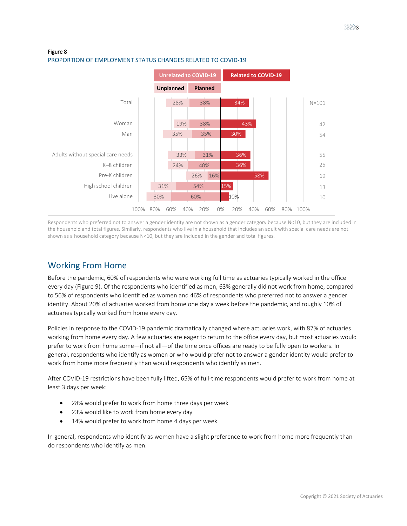#### <span id="page-7-1"></span>Figure 8 PROPORTION OF EMPLOYMENT STATUS CHANGES RELATED TO COVID-19



Respondents who preferred not to answer a gender identity are not shown as a gender category because N<10, but they are included in the household and total figures. Similarly, respondents who live in a household that includes an adult with special care needs are not shown as a household category because N<10, but they are included in the gender and total figures.

## <span id="page-7-0"></span>Working From Home

Before the pandemic, 60% of respondents who were working full time as actuaries typically worked in the office every day [\(Figure 9\)](#page-8-0). Of the respondents who identified as men, 63% generally did not work from home, compared to 56% of respondents who identified as women and 46% of respondents who preferred not to answer a gender identity. About 20% of actuaries worked from home one day a week before the pandemic, and roughly 10% of actuaries typically worked from home every day.

Policies in response to the COVID-19 pandemic dramatically changed where actuaries work, with 87% of actuaries working from home every day. A few actuaries are eager to return to the office every day, but most actuaries would prefer to work from home some—if not all—of the time once offices are ready to be fully open to workers. In general, respondents who identify as women or who would prefer not to answer a gender identity would prefer to work from home more frequently than would respondents who identify as men.

After COVID-19 restrictions have been fully lifted, 65% of full-time respondents would prefer to work from home at least 3 days per week:

- 28% would prefer to work from home three days per week
- 23% would like to work from home every day
- 14% would prefer to work from home 4 days per week

In general, respondents who identify as women have a slight preference to work from home more frequently than do respondents who identify as men.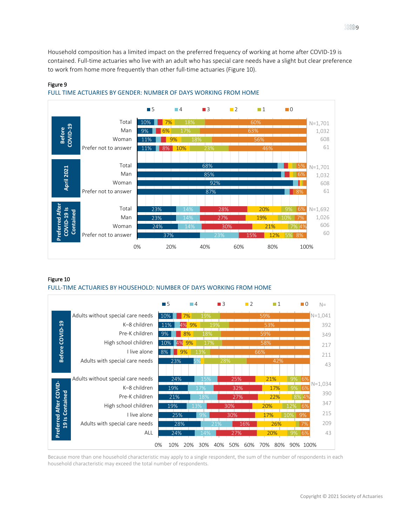Household composition has a limited impact on the preferred frequency of working at home after COVID-19 is contained. Full-time actuaries who live with an adult who has special care needs have a slight but clear preference to work from home more frequently than other full-time actuaries [\(Figure 10\)](#page-8-1).



#### <span id="page-8-0"></span>Figure 9



#### <span id="page-8-1"></span>Figure 10

#### FULL-TIME ACTUARIES BY HOUSEHOLD: NUMBER OF DAYS WORKING FROM HOME



Because more than one household characteristic may apply to a single respondent, the sum of the number of respondents in each household characteristic may exceed the total number of respondents.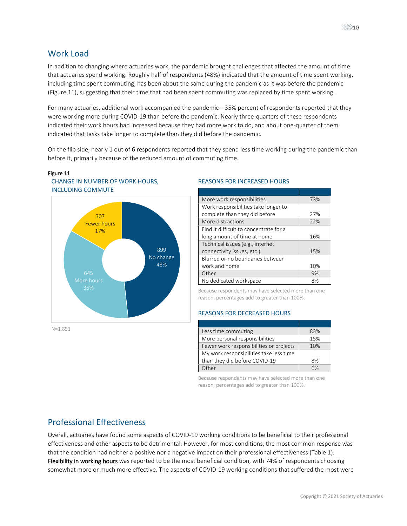## <span id="page-9-0"></span>Work Load

<span id="page-9-2"></span>Figure 11

In addition to changing where actuaries work, the pandemic brought challenges that affected the amount of time that actuaries spend working. Roughly half of respondents (48%) indicated that the amount of time spent working, including time spent commuting, has been about the same during the pandemic as it was before the pandemic [\(Figure 11\)](#page-9-2), suggesting that their time that had been spent commuting was replaced by time spent working.

For many actuaries, additional work accompanied the pandemic—35% percent of respondents reported that they were working more during COVID-19 than before the pandemic. Nearly three-quarters of these respondents indicated their work hours had increased because they had more work to do, and about one-quarter of them indicated that tasks take longer to complete than they did before the pandemic.

On the flip side, nearly 1 out of 6 respondents reported that they spend less time working during the pandemic than before it, primarily because of the reduced amount of commuting time.



#### N=1,851

#### REASONS FOR INCREASED HOURS

| More work responsibilities             | 73% |
|----------------------------------------|-----|
| Work responsibilities take longer to   |     |
| complete than they did before          | 27% |
| More distractions                      | 22% |
| Find it difficult to concentrate for a |     |
| long amount of time at home            | 16% |
| Technical issues (e.g., internet       |     |
| connectivity issues, etc.)             | 15% |
| Blurred or no boundaries between       |     |
| work and home                          | 10% |
| Other                                  | 9%  |
| No dedicated workspace                 | 8%  |

Because respondents may have selected more than one reason, percentages add to greater than 100%.

#### REASONS FOR DECREASED HOURS

| Less time commuting                     | 83% |
|-----------------------------------------|-----|
| More personal responsibilities          | 15% |
| Fewer work responsibilities or projects | 10% |
| My work responsibilities take less time |     |
| than they did before COVID-19           | 8%  |
| Other                                   |     |

Because respondents may have selected more than one reason, percentages add to greater than 100%.

## <span id="page-9-1"></span>Professional Effectiveness

Overall, actuaries have found some aspects of COVID-19 working conditions to be beneficial to their professional effectiveness and other aspects to be detrimental. However, for most conditions, the most common response was that the condition had neither a positive nor a negative impact on their professional effectiveness [\(Table 1\)](#page-10-0). Flexibility in working hours was reported to be the most beneficial condition, with 74% of respondents choosing somewhat more or much more effective. The aspects of COVID-19 working conditions that suffered the most were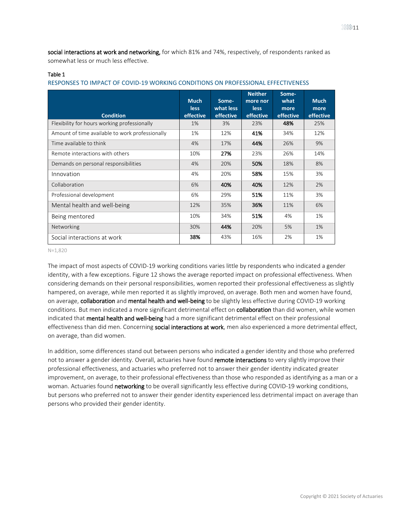social interactions at work and networking, for which 81% and 74%, respectively, of respondents ranked as somewhat less or much less effective.

#### <span id="page-10-0"></span>Table 1

| RESPONSES TO IMPACT OF COVID-19 WORKING CONDITIONS ON PROFESSIONAL EFFECTIVENESS |  |  |
|----------------------------------------------------------------------------------|--|--|
|----------------------------------------------------------------------------------|--|--|

| <b>Condition</b>                                | <b>Much</b><br><b>less</b><br>effective | Some-<br>what less<br>effective | <b>Neither</b><br>more nor<br><b>less</b><br>effective | Some-<br>what<br>more<br>effective | <b>Much</b><br>more<br>effective |
|-------------------------------------------------|-----------------------------------------|---------------------------------|--------------------------------------------------------|------------------------------------|----------------------------------|
| Flexibility for hours working professionally    | $1\%$                                   | 3%                              | 23%                                                    | 48%                                | 25%                              |
| Amount of time available to work professionally | 1%                                      | 12%                             | 41%                                                    | 34%                                | 12%                              |
| Time available to think                         | 4%                                      | 17%                             | 44%                                                    | 26%                                | 9%                               |
| Remote interactions with others                 | 10%                                     | 27%                             | 23%                                                    | 26%                                | 14%                              |
| Demands on personal responsibilities            | 4%                                      | 20%                             | 50%                                                    | 18%                                | 8%                               |
| Innovation                                      | 4%                                      | 20%                             | 58%                                                    | 15%                                | 3%                               |
| Collaboration                                   | 6%                                      | 40%                             | 40%                                                    | 12%                                | 2%                               |
| Professional development                        | 6%                                      | 29%                             | 51%                                                    | 11%                                | 3%                               |
| Mental health and well-being                    | 12%                                     | 35%                             | 36%                                                    | 11%                                | 6%                               |
| Being mentored                                  | 10%                                     | 34%                             | 51%                                                    | 4%                                 | 1%                               |
| Networking                                      | 30%                                     | 44%                             | 20%                                                    | 5%                                 | 1%                               |
| Social interactions at work                     | 38%                                     | 43%                             | 16%                                                    | 2%                                 | 1%                               |

N=1,820

The impact of most aspects of COVID-19 working conditions varies little by respondents who indicated a gender identity, with a few exceptions[. Figure 12](#page-11-0) shows the average reported impact on professional effectiveness. When considering demands on their personal responsibilities, women reported their professional effectiveness as slightly hampered, on average, while men reported it as slightly improved, on average. Both men and women have found, on average, collaboration and mental health and well-being to be slightly less effective during COVID-19 working conditions. But men indicated a more significant detrimental effect on collaboration than did women, while women indicated that mental health and well-being had a more significant detrimental effect on their professional effectiveness than did men. Concerning social interactions at work, men also experienced a more detrimental effect, on average, than did women.

In addition, some differences stand out between persons who indicated a gender identity and those who preferred not to answer a gender identity. Overall, actuaries have found remote interactions to very slightly improve their professional effectiveness, and actuaries who preferred not to answer their gender identity indicated greater improvement, on average, to their professional effectiveness than those who responded as identifying as a man or a woman. Actuaries found networking to be overall significantly less effective during COVID-19 working conditions, but persons who preferred not to answer their gender identity experienced less detrimental impact on average than persons who provided their gender identity.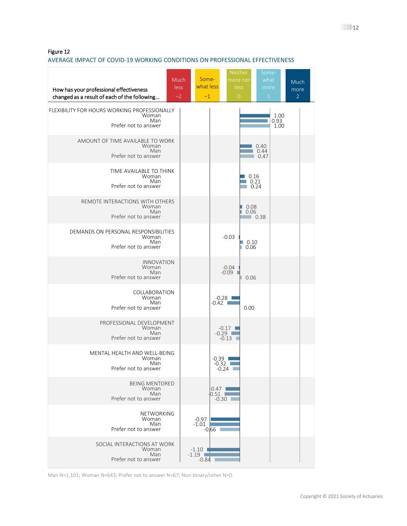<span id="page-11-0"></span>Figure 12

#### AVERAGE IMPACT OF COVID-19 WORKING CONDITIONS ON PROFESSIONAL EFFECTIVENESS

| Much<br>$les\overline{s}$<br>How has your professional effectiveness<br>changed as a result of each of the following<br>$-2$ | Some-<br>what less<br>$-1$                          | Neither<br>more nor<br>less<br>$\overline{0}$ | Some-<br>what<br>more<br>$\mathbf{1}$ | <b>Much</b><br>more<br>$\overline{2}$ |
|------------------------------------------------------------------------------------------------------------------------------|-----------------------------------------------------|-----------------------------------------------|---------------------------------------|---------------------------------------|
| FLEXIBILITY FOR HOURS WORKING PROFESSIONALLY<br>Woman<br>Man<br>Prefer not to answer                                         |                                                     |                                               | 1.00<br>0.93<br>1.00                  |                                       |
| AMOUNT OF TIME AVAILABLE TO WORK<br>Woman<br>Man<br>Prefer not to answer                                                     |                                                     |                                               | 0.40<br>0.44<br>0.47                  |                                       |
| TIME AVAILABLE TO THINK<br>Woman<br>Man<br>Prefer not to answer                                                              |                                                     | 0.16                                          | 0.21<br>0.24                          |                                       |
| REMOTE INTERACTIONS WITH OTHERS<br>Woman<br>Man<br>Prefer not to answer                                                      |                                                     | 0.08<br>0.06<br>m.                            | 0.38                                  |                                       |
| DEMANDS ON PERSONAL RESPONSIBILITIES<br>Woman<br>Man<br>Prefer not to answer                                                 |                                                     | $-0.03$<br>0.10<br>0.06                       |                                       |                                       |
| <b>INNOVATION</b><br>Woman<br>Man<br>Prefer not to answer                                                                    |                                                     | $-0.04$<br>$-0.09$<br>п<br>0.06               |                                       |                                       |
| COLLABORATION<br>Woman<br>Man<br>Prefer not to answer                                                                        |                                                     | $-0.28$ 1<br>$-0.42$ $\Box$<br>0.00           |                                       |                                       |
| PROFESSIONAL DEVELOPMENT<br>Woman<br>Man<br>Prefer not to answer                                                             |                                                     | $-0.17$ $\blacksquare$<br>$-0.29$<br>-0.13    |                                       |                                       |
| MENTAL HEALTH AND WELL-BEING<br>Woman<br>Man<br>Prefer not to answer                                                         |                                                     | $-0.39$<br>$-0.32$<br>$-0.24$ $\Box$          |                                       |                                       |
| <b>BEING MENTORED</b><br>Woman<br>Man<br>Prefer not to answer                                                                |                                                     | $-0.47$  <br>0.51<br>$-0.30$                  |                                       |                                       |
| NETWORKING<br>Woman<br>Man<br>Prefer not to answer                                                                           | $-0.97$<br>$-1.01$<br>$-0.66$                       |                                               |                                       |                                       |
| SOCIAL INTERACTIONS AT WORK<br>Woman<br>Man<br>Prefer not to answer                                                          | $-1.10$ $\blacksquare$<br>$-1.19$ $\Box$<br>$-0.84$ |                                               |                                       |                                       |

Man N=1,101; Woman N=643; Prefer not to answer N=67; Non-binary/other N=0.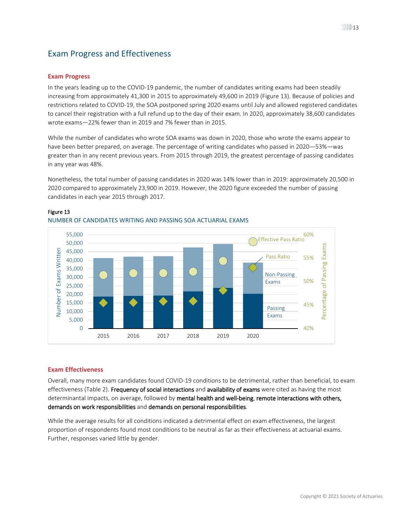## <span id="page-12-0"></span>Exam Progress and Effectiveness

#### <span id="page-12-1"></span>**Exam Progress**

In the years leading up to the COVID-19 pandemic, the number of candidates writing exams had been steadily increasing from approximately 41,300 in 2015 to approximately 49,600 in 2019 [\(Figure 13\)](#page-12-3). Because of policies and restrictions related to COVID-19, the SOA postponed spring 2020 exams until July and allowed registered candidates to cancel their registration with a full refund up to the day of their exam. In 2020, approximately 38,600 candidates wrote exams—22% fewer than in 2019 and 7% fewer than in 2015.

While the number of candidates who wrote SOA exams was down in 2020, those who wrote the exams appear to have been better prepared, on average. The percentage of writing candidates who passed in 2020—53%—was greater than in any recent previous years. From 2015 through 2019, the greatest percentage of passing candidates in any year was 48%.

Nonetheless, the total number of passing candidates in 2020 was 14% lower than in 2019: approximately 20,500 in 2020 compared to approximately 23,900 in 2019. However, the 2020 figure exceeded the number of passing candidates in each year 2015 through 2017.



#### <span id="page-12-3"></span>Figure 13

#### <span id="page-12-2"></span>**Exam Effectiveness**

Overall, many more exam candidates found COVID-19 conditions to be detrimental, rather than beneficial, to exam effectiveness [\(Table 2\)](#page-13-1). Frequency of social interactions and availability of exams were cited as having the most determinantal impacts, on average, followed by mental health and well-being, remote interactions with others, demands on work responsibilities and demands on personal responsibilities.

While the average results for all conditions indicated a detrimental effect on exam effectiveness, the largest proportion of respondents found most conditions to be neutral as far as their effectiveness at actuarial exams. Further, responses varied little by gender.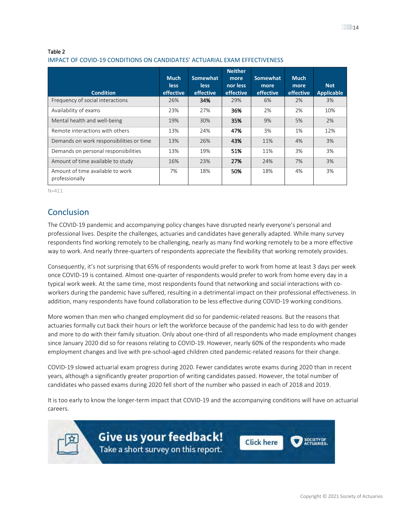#### <span id="page-13-1"></span>Table 2

#### IMPACT OF COVID-19 CONDITIONS ON CANDIDATES' ACTUARIAL EXAM EFFECTIVENESS

| <b>Condition</b>                                   | <b>Much</b><br><b>less</b><br>effective | Somewhat<br>less<br>effective | <b>Neither</b><br>more<br>nor less<br>effective | <b>Somewhat</b><br>more<br>effective | <b>Much</b><br>more<br>effective | <b>Not</b><br><b>Applicable</b> |
|----------------------------------------------------|-----------------------------------------|-------------------------------|-------------------------------------------------|--------------------------------------|----------------------------------|---------------------------------|
| Frequency of social interactions                   | 26%                                     | 34%                           | 29%                                             | 6%                                   | 2%                               | 3%                              |
| Availability of exams                              | 23%                                     | 27%                           | 36%                                             | 2%                                   | 2%                               | 10%                             |
| Mental health and well-being                       | 19%                                     | 30%                           | 35%                                             | 9%                                   | 5%                               | 2%                              |
| Remote interactions with others                    | 13%                                     | 24%                           | 47%                                             | 3%                                   | 1%                               | 12%                             |
| Demands on work responsibilities or time           | 13%                                     | 26%                           | 43%                                             | 11%                                  | 4%                               | 3%                              |
| Demands on personal responsibilities               | 13%                                     | 19%                           | 51%                                             | 11%                                  | 3%                               | 3%                              |
| Amount of time available to study                  | 16%                                     | 23%                           | 27%                                             | 24%                                  | 7%                               | 3%                              |
| Amount of time available to work<br>professionally | 7%                                      | 18%                           | 50%                                             | 18%                                  | 4%                               | 3%                              |

<span id="page-13-0"></span>N=411

## Conclusion

The COVID-19 pandemic and accompanying policy changes have disrupted nearly everyone's personal and professional lives. Despite the challenges, actuaries and candidates have generally adapted. While many survey respondents find working remotely to be challenging, nearly as many find working remotely to be a more effective way to work. And nearly three-quarters of respondents appreciate the flexibility that working remotely provides.

Consequently, it's not surprising that 65% of respondents would prefer to work from home at least 3 days per week once COVID-19 is contained. Almost one-quarter of respondents would prefer to work from home every day in a typical work week. At the same time, most respondents found that networking and social interactions with coworkers during the pandemic have suffered, resulting in a detrimental impact on their professional effectiveness. In addition, many respondents have found collaboration to be less effective during COVID-19 working conditions.

More women than men who changed employment did so for pandemic-related reasons. But the reasons that actuaries formally cut back their hours or left the workforce because of the pandemic had less to do with gender and more to do with their family situation. Only about one-third of all respondents who made employment changes since January 2020 did so for reasons relating to COVID-19. However, nearly 60% of the respondents who made employment changes and live with pre-school-aged children cited pandemic-related reasons for their change.

COVID-19 slowed actuarial exam progress during 2020. Fewer candidates wrote exams during 2020 than in recent years, although a significantly greater proportion of writing candidates passed. However, the total number of candidates who passed exams during 2020 fell short of the number who passed in each of 2018 and 2019.

It is too early to know the longer-term impact that COVID-19 and the accompanying conditions will have on actuarial careers.